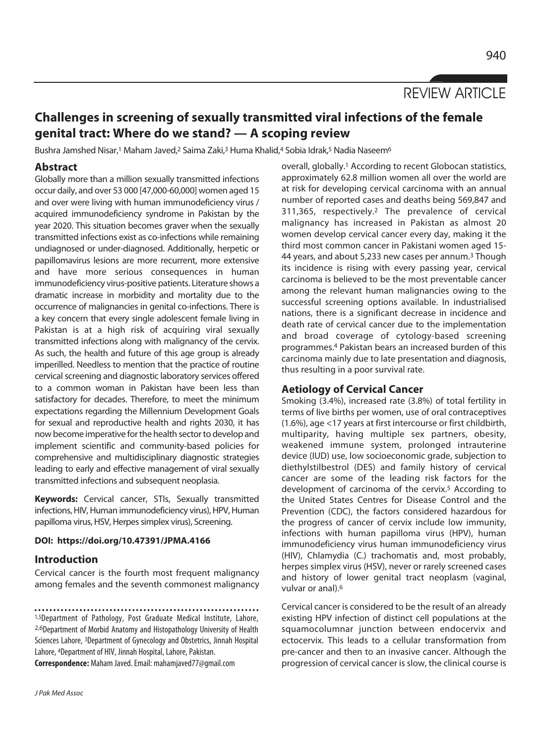# REVIEW ARTICLE

# **Challenges in screening of sexually transmitted viral infections of the female genital tract: Where do we stand? — A scoping review**

Bushra Jamshed Nisar, <sup>1</sup> Maham Javed,<sup>2</sup> Saima Zaki,<sup>3</sup> Huma Khalid,<sup>4</sup> Sobia Idrak,<sup>5</sup> Nadia Naseem<sup>6</sup>

# **Abstract**

Globally more than a million sexually transmitted infections occur daily, and over 53 000 [47,000-60,000] women aged 15 and over were living with human immunodeficiency virus / acquired immunodeficiency syndrome in Pakistan by the year 2020. This situation becomes graver when the sexually transmitted infections exist as co-infections while remaining undiagnosed or under-diagnosed. Additionally, herpetic or papillomavirus lesions are more recurrent, more extensive and have more serious consequences in human immunodeficiency virus-positive patients. Literature shows a dramatic increase in morbidity and mortality due to the occurrence of malignancies in genital co-infections. There is a key concern that every single adolescent female living in Pakistan is at a high risk of acquiring viral sexually transmitted infections along with malignancy of the cervix. As such, the health and future of this age group is already imperilled. Needless to mention that the practice of routine cervical screening and diagnostic laboratory services offered to a common woman in Pakistan have been less than satisfactory for decades. Therefore, to meet the minimum expectations regarding the Millennium Development Goals for sexual and reproductive health and rights 2030, it has now become imperative for the health sector to develop and implement scientific and community-based policies for comprehensive and multidisciplinary diagnostic strategies leading to early and effective management of viral sexually transmitted infections and subsequent neoplasia.

**Keywords:** Cervical cancer, STIs, Sexually transmitted infections, HIV, Human immunodeficiency virus), HPV, Human papilloma virus, HSV, Herpes simplex virus), Screening.

#### **DOI: https://doi.org/10.47391/JPMA.4166**

# **Introduction**

Cervical cancer is the fourth most frequent malignancy among females and the seventh commonest malignancy

1,5Department of Pathology, Post Graduate Medical Institute, Lahore, 2,6Department of Morbid Anatomy and Histopathology University of Health Sciences Lahore, 3Department of Gynecology and Obstetrics, Jinnah Hospital Lahore, 4Department of HIV, Jinnah Hospital, Lahore, Pakistan.

**Correspondence:** Maham Javed. Email: mahamjaved77@gmail.com

overall, globally.1 According to recent Globocan statistics, approximately 62.8 million women all over the world are at risk for developing cervical carcinoma with an annual number of reported cases and deaths being 569,847 and 311,365, respectively.2 The prevalence of cervical malignancy has increased in Pakistan as almost 20 women develop cervical cancer every day, making it the third most common cancer in Pakistani women aged 15- 44 years, and about 5,233 new cases per annum.3 Though its incidence is rising with every passing year, cervical carcinoma is believed to be the most preventable cancer among the relevant human malignancies owing to the successful screening options available. In industrialised nations, there is a significant decrease in incidence and death rate of cervical cancer due to the implementation and broad coverage of cytology-based screening programmes.4 Pakistan bears an increased burden of this carcinoma mainly due to late presentation and diagnosis, thus resulting in a poor survival rate.

# **Aetiology of Cervical Cancer**

Smoking (3.4%), increased rate (3.8%) of total fertility in terms of live births per women, use of oral contraceptives (1.6%), age <17 years at first intercourse or first childbirth, multiparity, having multiple sex partners, obesity, weakened immune system, prolonged intrauterine device (IUD) use, low socioeconomic grade, subjection to diethylstilbestrol (DES) and family history of cervical cancer are some of the leading risk factors for the development of carcinoma of the cervix.5 According to the United States Centres for Disease Control and the Prevention (CDC), the factors considered hazardous for the progress of cancer of cervix include low immunity, infections with human papilloma virus (HPV), human immunodeficiency virus human immunodeficiency virus (HIV), Chlamydia (C.) trachomatis and, most probably, herpes simplex virus (HSV), never or rarely screened cases and history of lower genital tract neoplasm (vaginal, vulvar or anal).6

Cervical cancer is considered to be the result of an already existing HPV infection of distinct cell populations at the squamocolumnar junction between endocervix and ectocervix. This leads to a cellular transformation from pre-cancer and then to an invasive cancer. Although the progression of cervical cancer is slow, the clinical course is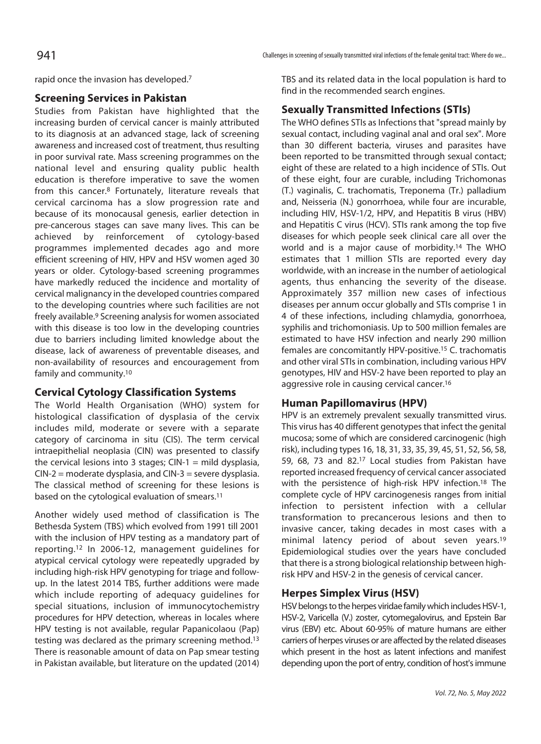rapid once the invasion has developed.7

# **Screening Services in Pakistan**

Studies from Pakistan have highlighted that the increasing burden of cervical cancer is mainly attributed to its diagnosis at an advanced stage, lack of screening awareness and increased cost of treatment, thus resulting in poor survival rate. Mass screening programmes on the national level and ensuring quality public health education is therefore imperative to save the women from this cancer.8 Fortunately, literature reveals that cervical carcinoma has a slow progression rate and because of its monocausal genesis, earlier detection in pre-cancerous stages can save many lives. This can be achieved by reinforcement of cytology-based programmes implemented decades ago and more efficient screening of HIV, HPV and HSV women aged 30 years or older. Cytology-based screening programmes have markedly reduced the incidence and mortality of cervical malignancy in the developed countries compared to the developing countries where such facilities are not freely available.9 Screening analysis for women associated with this disease is too low in the developing countries due to barriers including limited knowledge about the disease, lack of awareness of preventable diseases, and non-availability of resources and encouragement from family and community.10

#### **Cervical Cytology Classification Systems**

The World Health Organisation (WHO) system for histological classification of dysplasia of the cervix includes mild, moderate or severe with a separate category of carcinoma in situ (CIS). The term cervical intraepithelial neoplasia (CIN) was presented to classify the cervical lesions into 3 stages;  $CIN-1 = mild$  dysplasia,  $CIN-2$  = moderate dysplasia, and  $CIN-3$  = severe dysplasia. The classical method of screening for these lesions is based on the cytological evaluation of smears.11

Another widely used method of classification is The Bethesda System (TBS) which evolved from 1991 till 2001 with the inclusion of HPV testing as a mandatory part of reporting.12 In 2006-12, management guidelines for atypical cervical cytology were repeatedly upgraded by including high-risk HPV genotyping for triage and followup. In the latest 2014 TBS, further additions were made which include reporting of adequacy guidelines for special situations, inclusion of immunocytochemistry procedures for HPV detection, whereas in locales where HPV testing is not available, regular Papanicolaou (Pap) testing was declared as the primary screening method.13 There is reasonable amount of data on Pap smear testing in Pakistan available, but literature on the updated (2014)

TBS and its related data in the local population is hard to find in the recommended search engines.

#### **Sexually Transmitted Infections (STIs)**

The WHO defines STIs as Infections that "spread mainly by sexual contact, including vaginal anal and oral sex". More than 30 different bacteria, viruses and parasites have been reported to be transmitted through sexual contact; eight of these are related to a high incidence of STIs. Out of these eight, four are curable, including Trichomonas (T.) vaginalis, C. trachomatis, Treponema (Tr.) palladium and, Neisseria (N.) gonorrhoea, while four are incurable, including HIV, HSV-1/2, HPV, and Hepatitis B virus (HBV) and Hepatitis C virus (HCV). STIs rank among the top five diseases for which people seek clinical care all over the world and is a major cause of morbidity.14 The WHO estimates that 1 million STIs are reported every day worldwide, with an increase in the number of aetiological agents, thus enhancing the severity of the disease. Approximately 357 million new cases of infectious diseases per annum occur globally and STIs comprise 1 in 4 of these infections, including chlamydia, gonorrhoea, syphilis and trichomoniasis. Up to 500 million females are estimated to have HSV infection and nearly 290 million females are concomitantly HPV-positive.15 C. trachomatis and other viral STIs in combination, including various HPV genotypes, HIV and HSV-2 have been reported to play an aggressive role in causing cervical cancer.16

#### **Human Papillomavirus (HPV)**

HPV is an extremely prevalent sexually transmitted virus. This virus has 40 different genotypes that infect the genital mucosa; some of which are considered carcinogenic (high risk), including types 16, 18, 31, 33, 35, 39, 45, 51, 52, 56, 58, 59, 68, 73 and 82.17 Local studies from Pakistan have reported increased frequency of cervical cancer associated with the persistence of high-risk HPV infection.18 The complete cycle of HPV carcinogenesis ranges from initial infection to persistent infection with a cellular transformation to precancerous lesions and then to invasive cancer, taking decades in most cases with a minimal latency period of about seven years.19 Epidemiological studies over the years have concluded that there is a strong biological relationship between highrisk HPV and HSV-2 in the genesis of cervical cancer.

#### **Herpes Simplex Virus (HSV)**

HSV belongs to the herpes viridae family which includes HSV-1, HSV-2, Varicella (V.) zoster, cytomegalovirus, and Epstein Bar virus (EBV) etc. About 60-95% of mature humans are either carriers of herpes viruses or are affected by the related diseases which present in the host as latent infections and manifest depending upon the port of entry, condition of host's immune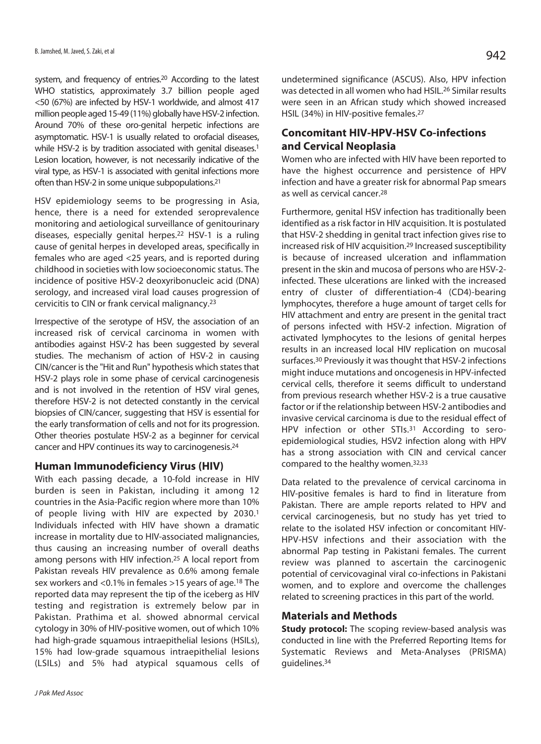system, and frequency of entries.<sup>20</sup> According to the latest WHO statistics, approximately 3.7 billion people aged <50 (67%) are infected by HSV-1 worldwide, and almost 417 million people aged 15-49 (11%) globally have HSV-2 infection. Around 70% of these oro-genital herpetic infections are asymptomatic. HSV-1 is usually related to orofacial diseases, while HSV-2 is by tradition associated with genital diseases.<sup>1</sup> Lesion location, however, is not necessarily indicative of the viral type, as HSV-1 is associated with genital infections more often than HSV-2 in some unique subpopulations.21

HSV epidemiology seems to be progressing in Asia, hence, there is a need for extended seroprevalence monitoring and aetiological surveillance of genitourinary diseases, especially genital herpes.22 HSV-1 is a ruling cause of genital herpes in developed areas, specifically in females who are aged <25 years, and is reported during childhood in societies with low socioeconomic status. The incidence of positive HSV-2 deoxyribonucleic acid (DNA) serology, and increased viral load causes progression of cervicitis to CIN or frank cervical malignancy.23

Irrespective of the serotype of HSV, the association of an increased risk of cervical carcinoma in women with antibodies against HSV-2 has been suggested by several studies. The mechanism of action of HSV-2 in causing CIN/cancer is the "Hit and Run" hypothesis which states that HSV-2 plays role in some phase of cervical carcinogenesis and is not involved in the retention of HSV viral genes, therefore HSV-2 is not detected constantly in the cervical biopsies of CIN/cancer, suggesting that HSV is essential for the early transformation of cells and not for its progression. Other theories postulate HSV-2 as a beginner for cervical cancer and HPV continues its way to carcinogenesis.24

#### **Human Immunodeficiency Virus (HIV)**

With each passing decade, a 10-fold increase in HIV burden is seen in Pakistan, including it among 12 countries in the Asia-Pacific region where more than 10% of people living with HIV are expected by 2030.1 Individuals infected with HIV have shown a dramatic increase in mortality due to HIV-associated malignancies, thus causing an increasing number of overall deaths among persons with HIV infection.25 A local report from Pakistan reveals HIV prevalence as 0.6% among female sex workers and <0.1% in females >15 years of age.18 The reported data may represent the tip of the iceberg as HIV testing and registration is extremely below par in Pakistan. Prathima et al. showed abnormal cervical cytology in 30% of HIV-positive women, out of which 10% had high-grade squamous intraepithelial lesions (HSILs), 15% had low-grade squamous intraepithelial lesions (LSILs) and 5% had atypical squamous cells of undetermined significance (ASCUS). Also, HPV infection was detected in all women who had HSIL.26 Similar results were seen in an African study which showed increased HSIL (34%) in HIV-positive females.27

# **Concomitant HIV-HPV-HSV Co-infections and Cervical Neoplasia**

Women who are infected with HIV have been reported to have the highest occurrence and persistence of HPV infection and have a greater risk for abnormal Pap smears as well as cervical cancer.28

Furthermore, genital HSV infection has traditionally been identified as a risk factor in HIV acquisition. It is postulated that HSV-2 shedding in genital tract infection gives rise to increased risk of HIV acquisition.29 Increased susceptibility is because of increased ulceration and inflammation present in the skin and mucosa of persons who are HSV-2 infected. These ulcerations are linked with the increased entry of cluster of differentiation-4 (CD4)-bearing lymphocytes, therefore a huge amount of target cells for HIV attachment and entry are present in the genital tract of persons infected with HSV-2 infection. Migration of activated lymphocytes to the lesions of genital herpes results in an increased local HIV replication on mucosal surfaces.30 Previously it was thought that HSV-2 infections might induce mutations and oncogenesis in HPV-infected cervical cells, therefore it seems difficult to understand from previous research whether HSV-2 is a true causative factor or if the relationship between HSV-2 antibodies and invasive cervical carcinoma is due to the residual effect of HPV infection or other STIs.<sup>31</sup> According to seroepidemiological studies, HSV2 infection along with HPV has a strong association with CIN and cervical cancer compared to the healthy women.32,33

Data related to the prevalence of cervical carcinoma in HIV-positive females is hard to find in literature from Pakistan. There are ample reports related to HPV and cervical carcinogenesis, but no study has yet tried to relate to the isolated HSV infection or concomitant HIV-HPV-HSV infections and their association with the abnormal Pap testing in Pakistani females. The current review was planned to ascertain the carcinogenic potential of cervicovaginal viral co-infections in Pakistani women, and to explore and overcome the challenges related to screening practices in this part of the world.

#### **Materials and Methods**

**Study protocol:** The scoping review-based analysis was conducted in line with the Preferred Reporting Items for Systematic Reviews and Meta-Analyses (PRISMA) guidelines.34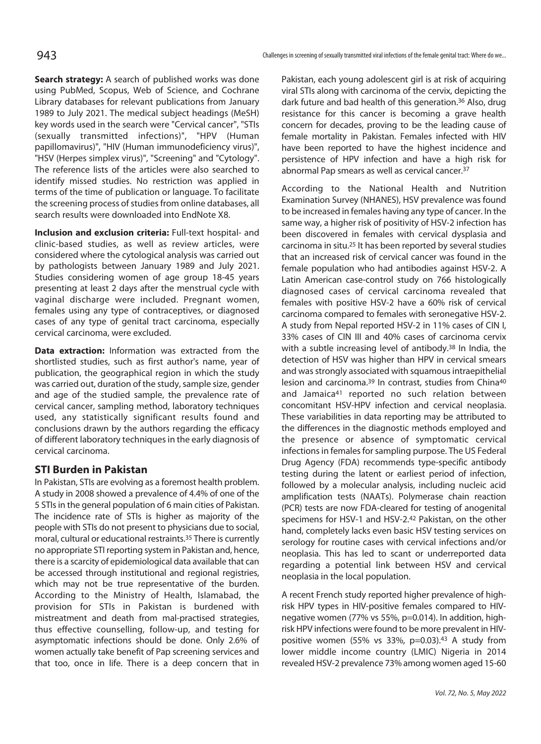**Search strategy:** A search of published works was done using PubMed, Scopus, Web of Science, and Cochrane Library databases for relevant publications from January 1989 to July 2021. The medical subject headings (MeSH) key words used in the search were "Cervical cancer", "STIs (sexually transmitted infections)", "HPV (Human papillomavirus)", "HIV (Human immunodeficiency virus)", "HSV (Herpes simplex virus)", "Screening" and "Cytology". The reference lists of the articles were also searched to identify missed studies. No restriction was applied in terms of the time of publication or language. To facilitate the screening process of studies from online databases, all search results were downloaded into EndNote X8.

**Inclusion and exclusion criteria:** Full-text hospital- and clinic-based studies, as well as review articles, were considered where the cytological analysis was carried out by pathologists between January 1989 and July 2021. Studies considering women of age group 18-45 years presenting at least 2 days after the menstrual cycle with vaginal discharge were included. Pregnant women, females using any type of contraceptives, or diagnosed cases of any type of genital tract carcinoma, especially cervical carcinoma, were excluded.

**Data extraction:** Information was extracted from the shortlisted studies, such as first author's name, year of publication, the geographical region in which the study was carried out, duration of the study, sample size, gender and age of the studied sample, the prevalence rate of cervical cancer, sampling method, laboratory techniques used, any statistically significant results found and conclusions drawn by the authors regarding the efficacy of different laboratory techniques in the early diagnosis of cervical carcinoma.

# **STI Burden in Pakistan**

In Pakistan, STIs are evolving as a foremost health problem. A study in 2008 showed a prevalence of 4.4% of one of the 5 STIs in the general population of 6 main cities of Pakistan. The incidence rate of STIs is higher as majority of the people with STIs do not present to physicians due to social, moral, cultural or educational restraints.35 There is currently no appropriate STI reporting system in Pakistan and, hence, there is a scarcity of epidemiological data available that can be accessed through institutional and regional registries, which may not be true representative of the burden. According to the Ministry of Health, Islamabad, the provision for STIs in Pakistan is burdened with mistreatment and death from mal-practised strategies, thus effective counselling, follow-up, and testing for asymptomatic infections should be done. Only 2.6% of women actually take benefit of Pap screening services and that too, once in life. There is a deep concern that in

Pakistan, each young adolescent girl is at risk of acquiring viral STIs along with carcinoma of the cervix, depicting the dark future and bad health of this generation.<sup>36</sup> Also, drug resistance for this cancer is becoming a grave health concern for decades, proving to be the leading cause of female mortality in Pakistan. Females infected with HIV have been reported to have the highest incidence and persistence of HPV infection and have a high risk for abnormal Pap smears as well as cervical cancer.37

According to the National Health and Nutrition Examination Survey (NHANES), HSV prevalence was found to be increased in females having any type of cancer. In the same way, a higher risk of positivity of HSV-2 infection has been discovered in females with cervical dysplasia and carcinoma in situ.25 It has been reported by several studies that an increased risk of cervical cancer was found in the female population who had antibodies against HSV-2. A Latin American case-control study on 766 histologically diagnosed cases of cervical carcinoma revealed that females with positive HSV-2 have a 60% risk of cervical carcinoma compared to females with seronegative HSV-2. A study from Nepal reported HSV-2 in 11% cases of CIN I, 33% cases of CIN III and 40% cases of carcinoma cervix with a subtle increasing level of antibody.38 In India, the detection of HSV was higher than HPV in cervical smears and was strongly associated with squamous intraepithelial lesion and carcinoma.<sup>39</sup> In contrast, studies from China<sup>40</sup> and Jamaica41 reported no such relation between concomitant HSV-HPV infection and cervical neoplasia. These variabilities in data reporting may be attributed to the differences in the diagnostic methods employed and the presence or absence of symptomatic cervical infections in females for sampling purpose. The US Federal Drug Agency (FDA) recommends type-specific antibody testing during the latent or earliest period of infection, followed by a molecular analysis, including nucleic acid amplification tests (NAATs). Polymerase chain reaction (PCR) tests are now FDA-cleared for testing of anogenital specimens for HSV-1 and HSV-2.42 Pakistan, on the other hand, completely lacks even basic HSV testing services on serology for routine cases with cervical infections and/or neoplasia. This has led to scant or underreported data regarding a potential link between HSV and cervical neoplasia in the local population.

A recent French study reported higher prevalence of highrisk HPV types in HIV-positive females compared to HIVnegative women (77% vs 55%, p=0.014). In addition, highrisk HPV infections were found to be more prevalent in HIVpositive women (55% vs 33%,  $p=0.03$ ).<sup>43</sup> A study from lower middle income country (LMIC) Nigeria in 2014 revealed HSV-2 prevalence 73% among women aged 15-60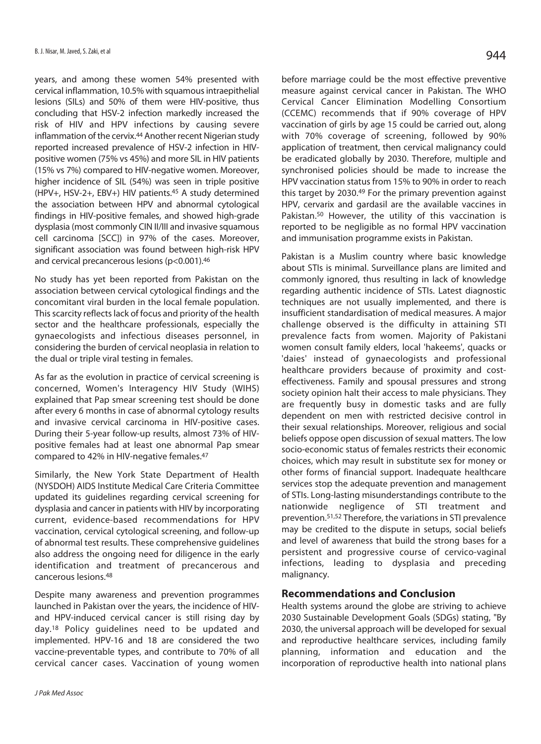years, and among these women 54% presented with cervical inflammation, 10.5% with squamous intraepithelial lesions (SILs) and 50% of them were HIV-positive, thus concluding that HSV-2 infection markedly increased the risk of HIV and HPV infections by causing severe inflammation of the cervix.<sup>44</sup> Another recent Nigerian study reported increased prevalence of HSV-2 infection in HIVpositive women (75% vs 45%) and more SIL in HIV patients (15% vs 7%) compared to HIV-negative women. Moreover, higher incidence of SIL (54%) was seen in triple positive (HPV+, HSV-2+, EBV+) HIV patients.45 A study determined the association between HPV and abnormal cytological findings in HIV-positive females, and showed high-grade dysplasia (most commonly CIN II/III and invasive squamous cell carcinoma [SCC]) in 97% of the cases. Moreover, significant association was found between high-risk HPV and cervical precancerous lesions (p<0.001).46

No study has yet been reported from Pakistan on the association between cervical cytological findings and the concomitant viral burden in the local female population. This scarcity reflects lack of focus and priority of the health sector and the healthcare professionals, especially the gynaecologists and infectious diseases personnel, in considering the burden of cervical neoplasia in relation to the dual or triple viral testing in females.

As far as the evolution in practice of cervical screening is concerned, Women's Interagency HIV Study (WIHS) explained that Pap smear screening test should be done after every 6 months in case of abnormal cytology results and invasive cervical carcinoma in HIV-positive cases. During their 5-year follow-up results, almost 73% of HIVpositive females had at least one abnormal Pap smear compared to 42% in HIV-negative females.47

Similarly, the New York State Department of Health (NYSDOH) AIDS Institute Medical Care Criteria Committee updated its guidelines regarding cervical screening for dysplasia and cancer in patients with HIV by incorporating current, evidence-based recommendations for HPV vaccination, cervical cytological screening, and follow-up of abnormal test results. These comprehensive guidelines also address the ongoing need for diligence in the early identification and treatment of precancerous and cancerous lesions.48

Despite many awareness and prevention programmes launched in Pakistan over the years, the incidence of HIVand HPV-induced cervical cancer is still rising day by day.18 Policy guidelines need to be updated and implemented. HPV-16 and 18 are considered the two vaccine-preventable types, and contribute to 70% of all cervical cancer cases. Vaccination of young women

before marriage could be the most effective preventive measure against cervical cancer in Pakistan. The WHO Cervical Cancer Elimination Modelling Consortium (CCEMC) recommends that if 90% coverage of HPV vaccination of girls by age 15 could be carried out, along with 70% coverage of screening, followed by 90% application of treatment, then cervical malignancy could be eradicated globally by 2030. Therefore, multiple and synchronised policies should be made to increase the HPV vaccination status from 15% to 90% in order to reach this target by 2030.49 For the primary prevention against HPV, cervarix and gardasil are the available vaccines in Pakistan.<sup>50</sup> However, the utility of this vaccination is reported to be negligible as no formal HPV vaccination and immunisation programme exists in Pakistan.

Pakistan is a Muslim country where basic knowledge about STIs is minimal. Surveillance plans are limited and commonly ignored, thus resulting in lack of knowledge regarding authentic incidence of STIs. Latest diagnostic techniques are not usually implemented, and there is insufficient standardisation of medical measures. A major challenge observed is the difficulty in attaining STI prevalence facts from women. Majority of Pakistani women consult family elders, local 'hakeems', quacks or 'daies' instead of gynaecologists and professional healthcare providers because of proximity and costeffectiveness. Family and spousal pressures and strong society opinion halt their access to male physicians. They are frequently busy in domestic tasks and are fully dependent on men with restricted decisive control in their sexual relationships. Moreover, religious and social beliefs oppose open discussion of sexual matters. The low socio-economic status of females restricts their economic choices, which may result in substitute sex for money or other forms of financial support. Inadequate healthcare services stop the adequate prevention and management of STIs. Long-lasting misunderstandings contribute to the nationwide negligence of STI treatment and prevention.51,52 Therefore, the variations in STI prevalence may be credited to the dispute in setups, social beliefs and level of awareness that build the strong bases for a persistent and progressive course of cervico-vaginal infections, leading to dysplasia and preceding malignancy.

#### **Recommendations and Conclusion**

Health systems around the globe are striving to achieve 2030 Sustainable Development Goals (SDGs) stating, "By 2030, the universal approach will be developed for sexual and reproductive healthcare services, including family planning, information and education and the incorporation of reproductive health into national plans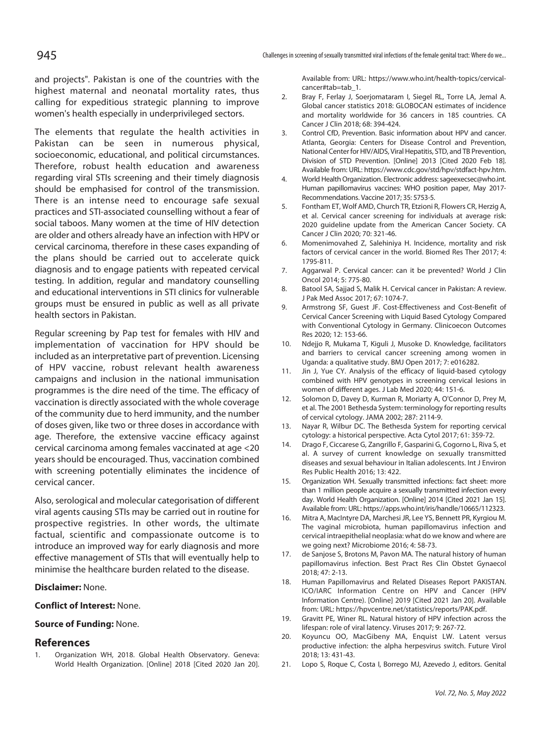and projects". Pakistan is one of the countries with the highest maternal and neonatal mortality rates, thus calling for expeditious strategic planning to improve women's health especially in underprivileged sectors.

The elements that regulate the health activities in Pakistan can be seen in numerous physical, socioeconomic, educational, and political circumstances. Therefore, robust health education and awareness regarding viral STIs screening and their timely diagnosis should be emphasised for control of the transmission. There is an intense need to encourage safe sexual practices and STI-associated counselling without a fear of social taboos. Many women at the time of HIV detection are older and others already have an infection with HPV or cervical carcinoma, therefore in these cases expanding of the plans should be carried out to accelerate quick diagnosis and to engage patients with repeated cervical testing. In addition, regular and mandatory counselling and educational interventions in STI clinics for vulnerable groups must be ensured in public as well as all private health sectors in Pakistan.

Regular screening by Pap test for females with HIV and implementation of vaccination for HPV should be included as an interpretative part of prevention. Licensing of HPV vaccine, robust relevant health awareness campaigns and inclusion in the national immunisation programmes is the dire need of the time. The efficacy of vaccination is directly associated with the whole coverage of the community due to herd immunity, and the number of doses given, like two or three doses in accordance with age. Therefore, the extensive vaccine efficacy against cervical carcinoma among females vaccinated at age <20 years should be encouraged. Thus, vaccination combined with screening potentially eliminates the incidence of cervical cancer.

Also, serological and molecular categorisation of different viral agents causing STIs may be carried out in routine for prospective registries. In other words, the ultimate factual, scientific and compassionate outcome is to introduce an improved way for early diagnosis and more effective management of STIs that will eventually help to minimise the healthcare burden related to the disease.

#### **Disclaimer:** None.

#### **Conflict of Interest:** None.

#### **Source of Funding:** None.

#### **References**

1. Organization WH, 2018. Global Health Observatory. Geneva: World Health Organization. [Online] 2018 [Cited 2020 Jan 20].

Available from: URL: https://www.who.int/health-topics/cervicalcancer#tab=tab\_1.

- 2. Bray F, Ferlay J, Soerjomataram I, Siegel RL, Torre LA, Jemal A. Global cancer statistics 2018: GLOBOCAN estimates of incidence and mortality worldwide for 36 cancers in 185 countries. CA Cancer J Clin 2018; 68: 394-424.
- 3. Control CfD, Prevention. Basic information about HPV and cancer. Atlanta, Georgia: Centers for Disease Control and Prevention, National Center for HIV/AIDS, Viral Hepatitis, STD, and TB Prevention, Division of STD Prevention. [Online] 2013 [Cited 2020 Feb 18]. Available from: URL: https://www.cdc.gov/std/hpv/stdfact-hpv.htm.
- 4. World Health Organization. Electronic address: sageexecsec@who.int. Human papillomavirus vaccines: WHO position paper, May 2017- Recommendations. Vaccine 2017; 35: 5753-5.
- 5. Fontham ET, Wolf AMD, Church TR, Etzioni R, Flowers CR, Herzig A, et al. Cervical cancer screening for individuals at average risk: 2020 guideline update from the American Cancer Society. CA Cancer J Clin 2020; 70: 321-46.
- 6. Momenimovahed Z, Salehiniya H. Incidence, mortality and risk factors of cervical cancer in the world. Biomed Res Ther 2017; 4: 1795-811.
- 7. Aggarwal P. Cervical cancer: can it be prevented? World J Clin Oncol 2014; 5: 775-80.
- 8. Batool SA, Sajjad S, Malik H. Cervical cancer in Pakistan: A review. J Pak Med Assoc 2017; 67: 1074-7.
- 9. Armstrong SF, Guest JF. Cost-Effectiveness and Cost-Benefit of Cervical Cancer Screening with Liquid Based Cytology Compared with Conventional Cytology in Germany. Clinicoecon Outcomes Res 2020; 12: 153-66.
- 10. Ndejjo R, Mukama T, Kiguli J, Musoke D. Knowledge, facilitators and barriers to cervical cancer screening among women in Uganda: a qualitative study. BMJ Open 2017; 7: e016282.
- 11. Jin J, Yue CY. Analysis of the efficacy of liquid-based cytology combined with HPV genotypes in screening cervical lesions in women of different ages. J Lab Med 2020; 44: 151-6.
- 12. Solomon D, Davey D, Kurman R, Moriarty A, O'Connor D, Prey M, et al. The 2001 Bethesda System: terminology for reporting results of cervical cytology. JAMA 2002; 287: 2114-9.
- 13. Nayar R, Wilbur DC. The Bethesda System for reporting cervical cytology: a historical perspective. Acta Cytol 2017; 61: 359-72.
- 14. Drago F, Ciccarese G, Zangrillo F, Gasparini G, Cogorno L, Riva S, et al. A survey of current knowledge on sexually transmitted diseases and sexual behaviour in Italian adolescents. Int J Environ Res Public Health 2016; 13: 422.
- 15. Organization WH. Sexually transmitted infections: fact sheet: more than 1 million people acquire a sexually transmitted infection every day. World Health Organization. [Online] 2014 [Cited 2021 Jan 15]. Available from: URL: https://apps.who.int/iris/handle/10665/112323.
- 16. Mitra A, MacIntyre DA, Marchesi JR, Lee YS, Bennett PR, Kyrgiou M. The vaginal microbiota, human papillomavirus infection and cervical intraepithelial neoplasia: what do we know and where are we going next? Microbiome 2016; 4: 58-73.
- 17. de Sanjose S, Brotons M, Pavon MA. The natural history of human papillomavirus infection. Best Pract Res Clin Obstet Gynaecol 2018; 47: 2-13.
- 18. Human Papillomavirus and Related Diseases Report PAKISTAN. ICO/IARC Information Centre on HPV and Cancer (HPV Information Centre). [Online] 2019 [Cited 2021 Jan 20]. Available from: URL: https://hpvcentre.net/statistics/reports/PAK.pdf.
- 19. Gravitt PE, Winer RL. Natural history of HPV infection across the lifespan: role of viral latency. Viruses 2017; 9: 267-72.
- 20. Koyuncu OO, MacGibeny MA, Enquist LW. Latent versus productive infection: the alpha herpesvirus switch. Future Virol 2018; 13: 431-43.
- 21. Lopo S, Roque C, Costa I, Borrego MJ, Azevedo J, editors. Genital